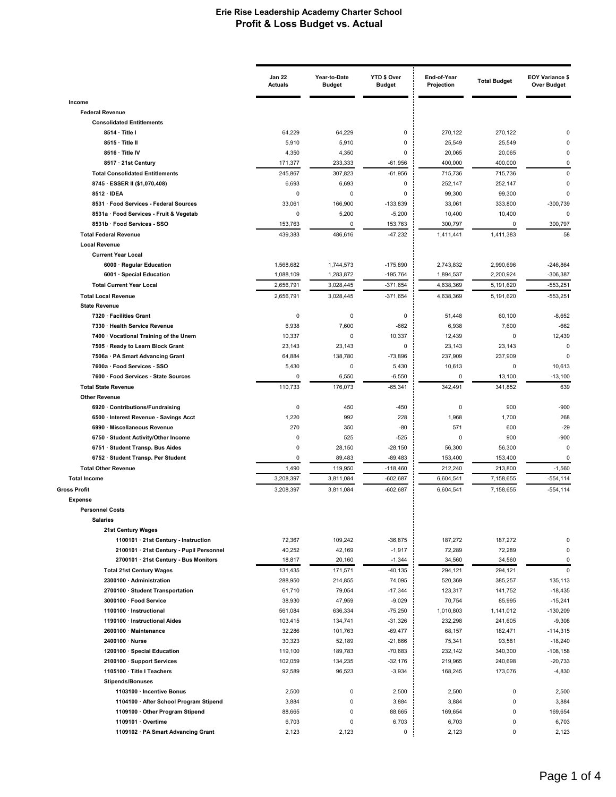|                                                                        | <b>Jan 22</b><br><b>Actuals</b> | Year-to-Date<br><b>Budget</b> | YTD \$ Over<br><b>Budget</b> | End-of-Year<br>Projection | <b>Total Budget</b> | <b>EOY Variance \$</b><br><b>Over Budget</b> |
|------------------------------------------------------------------------|---------------------------------|-------------------------------|------------------------------|---------------------------|---------------------|----------------------------------------------|
| Income                                                                 |                                 |                               |                              |                           |                     |                                              |
| <b>Federal Revenue</b>                                                 |                                 |                               |                              |                           |                     |                                              |
| <b>Consolidated Entitlements</b>                                       |                                 |                               |                              |                           |                     |                                              |
| 8514 · Title I                                                         | 64,229                          | 64,229                        | 0                            | 270,122                   | 270,122             |                                              |
| 8515 · Title II                                                        | 5,910                           | 5,910                         | 0                            | 25,549                    | 25,549              | O                                            |
| 8516 · Title IV                                                        | 4,350                           | 4,350                         | 0                            | 20,065                    | 20,065              | 0                                            |
| 8517 · 21st Century                                                    | 171,377                         | 233,333                       | -61,956                      | 400,000                   | 400,000             | 0                                            |
| <b>Total Consolidated Entitlements</b>                                 | 245,867                         | 307,823                       | $-61,956$                    | 715,736                   | 715,736             | $\Omega$                                     |
| 8745 · ESSER II (\$1,070,408)                                          | 6,693                           | 6,693                         | 0                            | 252,147                   | 252,147             | $\Omega$                                     |
| 8512 · IDEA                                                            | $\mathbf 0$                     | $\mathbf 0$                   | 0                            | 99,300                    | 99,300              | $\mathbf 0$                                  |
| 8531 · Food Services - Federal Sources                                 | 33,061                          | 166,900                       | $-133,839$                   | 33,061                    | 333,800             | -300,739                                     |
| 8531a · Food Services - Fruit & Vegetab                                | 0                               | 5,200                         | $-5,200$                     | 10,400                    | 10,400              | $\Omega$                                     |
| 8531b · Food Services - SSO                                            | 153,763                         | 0                             | 153,763                      | 300,797                   | 0                   | 300,797                                      |
| <b>Total Federal Revenue</b>                                           | 439,383                         | 486,616                       | $-47,232$                    | 1,411,441                 | 1,411,383           | 58                                           |
| <b>Local Revenue</b>                                                   |                                 |                               |                              |                           |                     |                                              |
| <b>Current Year Local</b>                                              |                                 |                               |                              |                           |                     |                                              |
| 6000 · Regular Education                                               | 1,568,682                       | 1,744,573                     | $-175,890$                   | 2,743,832                 | 2,990,696           | $-246,864$                                   |
| 6001 · Special Education                                               | 1,088,109                       | 1,283,872                     | $-195,764$                   | 1,894,537                 | 2,200,924           | $-306,387$                                   |
| <b>Total Current Year Local</b>                                        | 2,656,791                       | 3,028,445                     | $-371,654$                   | 4,638,369                 | 5,191,620           | $-553,251$                                   |
| <b>Total Local Revenue</b>                                             | 2,656,791                       | 3,028,445                     | $-371,654$                   | 4,638,369                 | 5,191,620           | $-553,251$                                   |
| <b>State Revenue</b>                                                   |                                 |                               |                              |                           |                     |                                              |
| 7320 · Facilities Grant                                                | 0                               | 0                             | $\mathbf 0$                  | 51,448                    | 60,100              | $-8,652$                                     |
| 7330 · Health Service Revenue                                          | 6,938                           | 7,600                         | $-662$                       | 6,938                     | 7,600               | $-662$                                       |
| 7400 · Vocational Training of the Unem                                 | 10,337                          | $\mathbf 0$                   | 10,337                       | 12,439                    | 0                   | 12,439                                       |
| 7505 · Ready to Learn Block Grant                                      | 23,143                          | 23,143                        | 0                            | 23,143                    | 23,143              | $\mathbf 0$                                  |
| 7506a · PA Smart Advancing Grant                                       | 64,884                          | 138,780                       | $-73,896$                    | 237,909                   | 237,909             | $\Omega$                                     |
| 7600a · Food Services - SSO                                            | 5,430<br>0                      | 0                             | 5,430                        | 10,613<br>$\mathbf 0$     | 0                   | 10,613                                       |
| 7600 · Food Services - State Sources                                   |                                 | 6,550                         | $-6,550$                     |                           | 13,100              | $-13,100$                                    |
| <b>Total State Revenue</b><br><b>Other Revenue</b>                     | 110,733                         | 176,073                       | $-65,341$                    | 342,491                   | 341,852             | 639                                          |
|                                                                        | 0                               |                               |                              | $\mathbf 0$               |                     |                                              |
| 6920 · Contributions/Fundraising                                       |                                 | 450                           | $-450$                       |                           | 900                 | $-900$                                       |
| 6500 · Interest Revenue - Savings Acct<br>6990 · Miscellaneous Revenue | 1,220<br>270                    | 992                           | 228<br>$-80$                 | 1,968<br>571              | 1,700<br>600        | 268<br>$-29$                                 |
| 6750 · Student Activity/Other Income                                   | 0                               | 350<br>525                    | $-525$                       | 0                         | 900                 | $-900$                                       |
|                                                                        | $\pmb{0}$                       | 28,150                        | $-28,150$                    | 56,300                    | 56,300              | 0                                            |
| 6751 · Student Transp. Bus Aides<br>6752 · Student Transp. Per Student | $\mathbf 0$                     | 89,483                        | $-89,483$                    | 153,400                   | 153,400             | $\mathbf 0$                                  |
| <b>Total Other Revenue</b>                                             | 1,490                           | 119,950                       | $-118,460$                   | 212,240                   | 213,800             | $-1,560$                                     |
| <b>Total Income</b>                                                    | 3,208,397                       | 3,811,084                     | $-602,687$                   | 6.604.541                 | 7,158,655           | $-554.114$                                   |
|                                                                        |                                 |                               |                              |                           |                     |                                              |
| <b>Gross Profit</b><br><b>Expense</b>                                  | 3,208,397                       | 3,811,084                     | $-602,687$                   | 6,604,541                 | 7,158,655           | $-554, 114$                                  |
| <b>Personnel Costs</b>                                                 |                                 |                               |                              |                           |                     |                                              |
| <b>Salaries</b>                                                        |                                 |                               |                              |                           |                     |                                              |
| 21st Century Wages                                                     |                                 |                               |                              |                           |                     |                                              |
| 1100101 · 21st Century - Instruction                                   | 72,367                          | 109,242                       | $-36,875$                    | 187,272                   | 187,272             | $\pmb{0}$                                    |
| 2100101 · 21st Century - Pupil Personnel                               | 40,252                          | 42,169                        | $-1,917$                     | 72,289                    | 72,289              | 0                                            |
| 2700101 · 21st Century - Bus Monitors                                  | 18,817                          | 20,160                        | $-1,344$                     | 34,560                    | 34,560              | 0                                            |
| <b>Total 21st Century Wages</b>                                        | 131,435                         | 171,571                       | $-40, 135$                   | 294,121                   | 294,121             | $\mathbf 0$                                  |
| 2300100 · Administration                                               | 288,950                         | 214,855                       | 74,095                       | 520,369                   | 385,257             | 135,113                                      |
| 2700100 · Student Transportation                                       | 61,710                          | 79,054                        | $-17,344$                    | 123,317                   | 141,752             | $-18,435$                                    |
| 3000100 · Food Service                                                 | 38,930                          | 47,959                        | $-9,029$                     | 70,754                    | 85,995              | $-15,241$                                    |
| 1100100 · Instructional                                                | 561,084                         | 636,334                       | $-75,250$                    | 1,010,803                 | 1,141,012           | $-130,209$                                   |
| 1190100 · Instructional Aides                                          | 103,415                         | 134,741                       | $-31,326$                    | 232,298                   | 241,605             | $-9,308$                                     |
| 2600100 · Maintenance                                                  | 32,286                          | 101,763                       | $-69,477$                    | 68,157                    | 182,471             | $-114,315$                                   |
| 2400100 · Nurse                                                        | 30,323                          | 52,189                        | $-21,866$                    | 75,341                    | 93,581              | $-18,240$                                    |
| 1200100 · Special Education                                            | 119,100                         | 189,783                       | $-70,683$                    | 232,142                   | 340,300             | $-108,158$                                   |
| 2100100 · Support Services                                             | 102,059                         | 134,235                       | $-32,176$                    | 219,965                   | 240,698             | $-20,733$                                    |
| 1105100 · Title I Teachers                                             | 92,589                          | 96,523                        | $-3,934$                     | 168,245                   | 173,076             | $-4,830$                                     |
| <b>Stipends/Bonuses</b>                                                |                                 |                               |                              |                           |                     |                                              |
| 1103100 · Incentive Bonus                                              | 2,500                           | 0                             | 2,500                        | 2,500                     | $\mathsf 0$         | 2,500                                        |
| 1104100 · After School Program Stipend                                 | 3,884                           | $\pmb{0}$                     | 3,884                        | 3,884                     | $\mathsf 0$         | 3,884                                        |
| 1109100 · Other Program Stipend                                        | 88,665                          | $\pmb{0}$                     | 88,665                       | 169,654                   | $\mathsf 0$         | 169,654                                      |
| 1109101 · Overtime                                                     | 6,703                           | 0                             | 6,703                        | 6,703                     | $\mathsf 0$         | 6,703                                        |
| 1109102 · PA Smart Advancing Grant                                     | 2,123                           | 2,123                         | 0                            | 2,123                     | $\mathsf 0$         | 2,123                                        |
|                                                                        |                                 |                               |                              |                           |                     |                                              |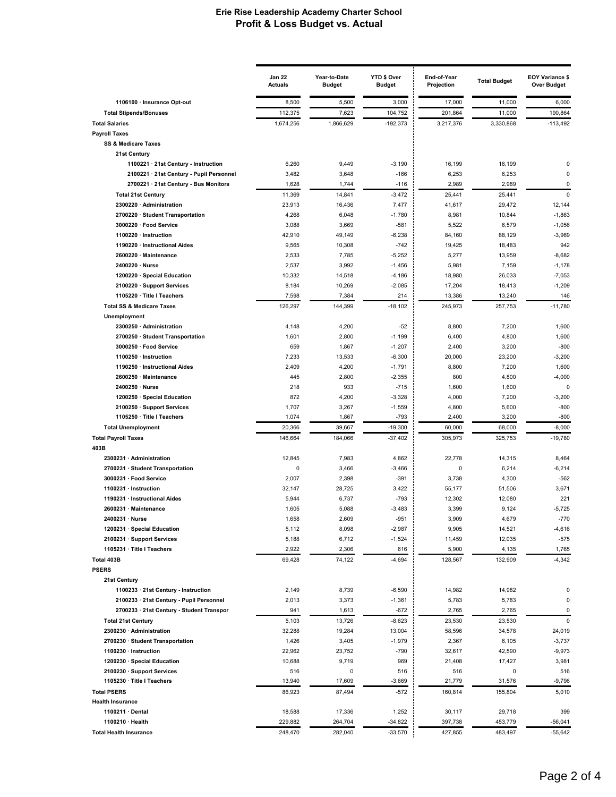| 8,500<br>1106100 · Insurance Opt-out<br>3,000<br>17,000<br>11,000<br>6,000<br>5,500<br>190,864<br><b>Total Stipends/Bonuses</b><br>112,375<br>7,623<br>104,752<br>201,864<br>11,000<br><b>Total Salaries</b><br>1,674,256<br>1,866,629<br>$-192,373$<br>3,217,376<br>3,330,868<br>$-113.492$<br><b>Payroll Taxes</b><br><b>SS &amp; Medicare Taxes</b><br>21st Century<br>1100221 · 21st Century - Instruction<br>6,260<br>9,449<br>$-3,190$<br>16,199<br>16,199<br>0<br>2100221 · 21st Century - Pupil Personnel<br>3,482<br>3,648<br>$-166$<br>6,253<br>6,253<br>0<br>2700221 · 21st Century - Bus Monitors<br>1,628<br>1,744<br>$-116$<br>2,989<br>2,989<br>0<br><b>Total 21st Century</b><br>11,369<br>$-3,472$<br>25,441<br>25,441<br>$\mathbf 0$<br>14,841<br>23,913<br>2300220 · Administration<br>16,436<br>41,617<br>29,472<br>12,144<br>7,477<br>2700220 · Student Transportation<br>4,268<br>6,048<br>$-1,780$<br>8,981<br>10,844<br>$-1,863$<br>3,088<br>5,522<br>$-1,056$<br>3000220 · Food Service<br>3,669<br>$-581$<br>6,579<br>42,910<br>$-6,238$<br>84,160<br>$-3,969$<br>1100220 · Instruction<br>49,149<br>88,129<br>1190220 · Instructional Aides<br>9,565<br>10,308<br>$-742$<br>19,425<br>18,483<br>942<br>$-8,682$<br>2600220 · Maintenance<br>2,533<br>7,785<br>$-5,252$<br>5,277<br>13,959<br>2400220 · Nurse<br>2,537<br>3,992<br>5,981<br>7,159<br>$-1,178$<br>$-1,456$<br>1200220 · Special Education<br>10,332<br>14,518<br>$-4,186$<br>18,980<br>26,033<br>$-7,053$<br>$-1,209$<br>2100220 · Support Services<br>8,184<br>10,269<br>$-2,085$<br>17,204<br>18,413<br>7,598<br>7,384<br>214<br>1105220 · Title I Teachers<br>13,386<br>13,240<br>146<br>126,297<br>$-18,102$<br>245,973<br>257,753<br>$-11,780$<br><b>Total SS &amp; Medicare Taxes</b><br>144,399<br>Unemployment<br>2300250 · Administration<br>4,148<br>4,200<br>$-52$<br>8,800<br>7,200<br>1,600<br>1,601<br>$-1,199$<br>6,400<br>4,800<br>1,600<br>2700250 · Student Transportation<br>2,800<br>$-800$<br>3000250 · Food Service<br>659<br>1,867<br>$-1,207$<br>2,400<br>3,200<br>1100250 · Instruction<br>7,233<br>13,533<br>$-6,300$<br>20,000<br>23,200<br>$-3,200$<br>2,409<br>4,200<br>$-1,791$<br>8,800<br>7,200<br>1,600<br>1190250 · Instructional Aides<br>2600250 · Maintenance<br>445<br>2,800<br>$-2,355$<br>800<br>4,800<br>$-4,000$<br>2400250 · Nurse<br>218<br>933<br>$-715$<br>1,600<br>1,600<br>$\mathbf 0$<br>1200250 · Special Education<br>872<br>4,200<br>$-3,328$<br>4,000<br>7,200<br>$-3,200$<br>$-800$<br>1,707<br>3,267<br>5,600<br>2100250 · Support Services<br>$-1,559$<br>4,800<br>1105250 · Title I Teachers<br>1,074<br>$-793$<br>3,200<br>$-800$<br>1,867<br>2,400<br><b>Total Unemployment</b><br>20,366<br>39,667<br>$-19,300$<br>60,000<br>68,000<br>$-8,000$<br>146,664<br>$-37,402$<br>305,973<br>325,753<br>$-19,780$<br><b>Total Payroll Taxes</b><br>184,066<br>403B<br>2300231 · Administration<br>12,845<br>7,983<br>4,862<br>22,778<br>14,315<br>8,464<br>2700231 · Student Transportation<br>0<br>3,466<br>$-3,466$<br>0<br>6,214<br>$-6,214$<br>2,007<br>$-391$<br>3,738<br>4,300<br>$-562$<br>3000231 · Food Service<br>2,398<br>3,422<br>3,671<br>1100231 · Instruction<br>32,147<br>28,725<br>55,177<br>51,506<br>1190231 · Instructional Aides<br>5,944<br>6,737<br>$-793$<br>12,302<br>12,080<br>221<br>$-3,483$<br>9,124<br>$-5,725$<br>2600231 · Maintenance<br>1,605<br>5,088<br>3,399<br>4,679<br>2400231 · Nurse<br>1,658<br>2,609<br>$-951$<br>3,909<br>$-770$<br>1200231 · Special Education<br>5,112<br>$-2,987$<br>9,905<br>14,521<br>$-4,616$<br>8,098<br>2100231 · Support Services<br>5,188<br>6,712<br>$-1,524$<br>12,035<br>$-575$<br>11,459<br>1105231 · Title I Teachers<br>2,922<br>2,306<br>616<br>5,900<br>4,135<br>1,765<br>$-4,342$<br>Total 403B<br>69,428<br>74,122<br>$-4,694$<br>128,567<br>132,909<br><b>PSERS</b><br>21st Century<br>14,982<br>1100233 · 21st Century - Instruction<br>2,149<br>8,739<br>$-6,590$<br>14,982<br>0<br>2100233 · 21st Century - Pupil Personnel<br>2,013<br>3,373<br>$-1,361$<br>5,783<br>5,783<br>$\pmb{0}$<br>2700233 · 21st Century - Student Transpor<br>941<br>1,613<br>$-672$<br>2,765<br>2,765<br>$\mathbf 0$<br><b>Total 21st Century</b><br>5,103<br>13,726<br>$-8,623$<br>23,530<br>23,530<br>0<br>32,288<br>2300230 · Administration<br>19,284<br>13,004<br>58,596<br>34,578<br>24,019<br>2700230 · Student Transportation<br>1,426<br>3,405<br>$-1,979$<br>2,367<br>6,105<br>$-3,737$<br>1100230 · Instruction<br>22,962<br>23,752<br>$-790$<br>32,617<br>42,590<br>$-9,973$<br>1200230 · Special Education<br>10,688<br>9,719<br>969<br>21,408<br>3,981<br>17,427<br>516<br>2100230 · Support Services<br>516<br>0<br>516<br>516<br>0<br>1105230 · Title I Teachers<br>13,940<br>17,609<br>$-3,669$<br>21,779<br>31,576<br>$-9,796$<br>86,923<br>87,494<br>160,814<br>5,010<br><b>Total PSERS</b><br>$-572$<br>155,804<br><b>Health Insurance</b><br>1100211 · Dental<br>18,588<br>17,336<br>1,252<br>30,117<br>29,718<br>399<br>1100210 · Health<br>229,882<br>264,704<br>$-34,822$<br>397,738<br>453,779<br>$-56,041$<br>$-33,570$<br><b>Total Health Insurance</b><br>248,470<br>282,040<br>427,855<br>483,497<br>$-55,642$ | <b>Jan 22</b><br><b>Actuals</b> | Year-to-Date<br><b>Budget</b> | YTD \$ Over<br><b>Budget</b> | End-of-Year<br>Projection | <b>Total Budget</b> | <b>EOY Variance \$</b><br><b>Over Budget</b> |
|-----------------------------------------------------------------------------------------------------------------------------------------------------------------------------------------------------------------------------------------------------------------------------------------------------------------------------------------------------------------------------------------------------------------------------------------------------------------------------------------------------------------------------------------------------------------------------------------------------------------------------------------------------------------------------------------------------------------------------------------------------------------------------------------------------------------------------------------------------------------------------------------------------------------------------------------------------------------------------------------------------------------------------------------------------------------------------------------------------------------------------------------------------------------------------------------------------------------------------------------------------------------------------------------------------------------------------------------------------------------------------------------------------------------------------------------------------------------------------------------------------------------------------------------------------------------------------------------------------------------------------------------------------------------------------------------------------------------------------------------------------------------------------------------------------------------------------------------------------------------------------------------------------------------------------------------------------------------------------------------------------------------------------------------------------------------------------------------------------------------------------------------------------------------------------------------------------------------------------------------------------------------------------------------------------------------------------------------------------------------------------------------------------------------------------------------------------------------------------------------------------------------------------------------------------------------------------------------------------------------------------------------------------------------------------------------------------------------------------------------------------------------------------------------------------------------------------------------------------------------------------------------------------------------------------------------------------------------------------------------------------------------------------------------------------------------------------------------------------------------------------------------------------------------------------------------------------------------------------------------------------------------------------------------------------------------------------------------------------------------------------------------------------------------------------------------------------------------------------------------------------------------------------------------------------------------------------------------------------------------------------------------------------------------------------------------------------------------------------------------------------------------------------------------------------------------------------------------------------------------------------------------------------------------------------------------------------------------------------------------------------------------------------------------------------------------------------------------------------------------------------------------------------------------------------------------------------------------------------------------------------------------------------------------------------------------------------------------------------------------------------------------------------------------------------------------------------------------------------------------------------------------------------------------------------------------------------------------------------------------------------------------------------------------------------------------------------------------------------------------------------------------------------------------------------------------------------------------------------------------------------------------------------------------------------------------------------------------------------------------------------------------------------------------------------------------------------------------------------------------------------------------------------------------------------------------------------------------------------------------------------------|---------------------------------|-------------------------------|------------------------------|---------------------------|---------------------|----------------------------------------------|
|                                                                                                                                                                                                                                                                                                                                                                                                                                                                                                                                                                                                                                                                                                                                                                                                                                                                                                                                                                                                                                                                                                                                                                                                                                                                                                                                                                                                                                                                                                                                                                                                                                                                                                                                                                                                                                                                                                                                                                                                                                                                                                                                                                                                                                                                                                                                                                                                                                                                                                                                                                                                                                                                                                                                                                                                                                                                                                                                                                                                                                                                                                                                                                                                                                                                                                                                                                                                                                                                                                                                                                                                                                                                                                                                                                                                                                                                                                                                                                                                                                                                                                                                                                                                                                                                                                                                                                                                                                                                                                                                                                                                                                                                                                                                                                                                                                                                                                                                                                                                                                                                                                                                                                                                                                                           |                                 |                               |                              |                           |                     |                                              |
|                                                                                                                                                                                                                                                                                                                                                                                                                                                                                                                                                                                                                                                                                                                                                                                                                                                                                                                                                                                                                                                                                                                                                                                                                                                                                                                                                                                                                                                                                                                                                                                                                                                                                                                                                                                                                                                                                                                                                                                                                                                                                                                                                                                                                                                                                                                                                                                                                                                                                                                                                                                                                                                                                                                                                                                                                                                                                                                                                                                                                                                                                                                                                                                                                                                                                                                                                                                                                                                                                                                                                                                                                                                                                                                                                                                                                                                                                                                                                                                                                                                                                                                                                                                                                                                                                                                                                                                                                                                                                                                                                                                                                                                                                                                                                                                                                                                                                                                                                                                                                                                                                                                                                                                                                                                           |                                 |                               |                              |                           |                     |                                              |
|                                                                                                                                                                                                                                                                                                                                                                                                                                                                                                                                                                                                                                                                                                                                                                                                                                                                                                                                                                                                                                                                                                                                                                                                                                                                                                                                                                                                                                                                                                                                                                                                                                                                                                                                                                                                                                                                                                                                                                                                                                                                                                                                                                                                                                                                                                                                                                                                                                                                                                                                                                                                                                                                                                                                                                                                                                                                                                                                                                                                                                                                                                                                                                                                                                                                                                                                                                                                                                                                                                                                                                                                                                                                                                                                                                                                                                                                                                                                                                                                                                                                                                                                                                                                                                                                                                                                                                                                                                                                                                                                                                                                                                                                                                                                                                                                                                                                                                                                                                                                                                                                                                                                                                                                                                                           |                                 |                               |                              |                           |                     |                                              |
|                                                                                                                                                                                                                                                                                                                                                                                                                                                                                                                                                                                                                                                                                                                                                                                                                                                                                                                                                                                                                                                                                                                                                                                                                                                                                                                                                                                                                                                                                                                                                                                                                                                                                                                                                                                                                                                                                                                                                                                                                                                                                                                                                                                                                                                                                                                                                                                                                                                                                                                                                                                                                                                                                                                                                                                                                                                                                                                                                                                                                                                                                                                                                                                                                                                                                                                                                                                                                                                                                                                                                                                                                                                                                                                                                                                                                                                                                                                                                                                                                                                                                                                                                                                                                                                                                                                                                                                                                                                                                                                                                                                                                                                                                                                                                                                                                                                                                                                                                                                                                                                                                                                                                                                                                                                           |                                 |                               |                              |                           |                     |                                              |
|                                                                                                                                                                                                                                                                                                                                                                                                                                                                                                                                                                                                                                                                                                                                                                                                                                                                                                                                                                                                                                                                                                                                                                                                                                                                                                                                                                                                                                                                                                                                                                                                                                                                                                                                                                                                                                                                                                                                                                                                                                                                                                                                                                                                                                                                                                                                                                                                                                                                                                                                                                                                                                                                                                                                                                                                                                                                                                                                                                                                                                                                                                                                                                                                                                                                                                                                                                                                                                                                                                                                                                                                                                                                                                                                                                                                                                                                                                                                                                                                                                                                                                                                                                                                                                                                                                                                                                                                                                                                                                                                                                                                                                                                                                                                                                                                                                                                                                                                                                                                                                                                                                                                                                                                                                                           |                                 |                               |                              |                           |                     |                                              |
|                                                                                                                                                                                                                                                                                                                                                                                                                                                                                                                                                                                                                                                                                                                                                                                                                                                                                                                                                                                                                                                                                                                                                                                                                                                                                                                                                                                                                                                                                                                                                                                                                                                                                                                                                                                                                                                                                                                                                                                                                                                                                                                                                                                                                                                                                                                                                                                                                                                                                                                                                                                                                                                                                                                                                                                                                                                                                                                                                                                                                                                                                                                                                                                                                                                                                                                                                                                                                                                                                                                                                                                                                                                                                                                                                                                                                                                                                                                                                                                                                                                                                                                                                                                                                                                                                                                                                                                                                                                                                                                                                                                                                                                                                                                                                                                                                                                                                                                                                                                                                                                                                                                                                                                                                                                           |                                 |                               |                              |                           |                     |                                              |
|                                                                                                                                                                                                                                                                                                                                                                                                                                                                                                                                                                                                                                                                                                                                                                                                                                                                                                                                                                                                                                                                                                                                                                                                                                                                                                                                                                                                                                                                                                                                                                                                                                                                                                                                                                                                                                                                                                                                                                                                                                                                                                                                                                                                                                                                                                                                                                                                                                                                                                                                                                                                                                                                                                                                                                                                                                                                                                                                                                                                                                                                                                                                                                                                                                                                                                                                                                                                                                                                                                                                                                                                                                                                                                                                                                                                                                                                                                                                                                                                                                                                                                                                                                                                                                                                                                                                                                                                                                                                                                                                                                                                                                                                                                                                                                                                                                                                                                                                                                                                                                                                                                                                                                                                                                                           |                                 |                               |                              |                           |                     |                                              |
|                                                                                                                                                                                                                                                                                                                                                                                                                                                                                                                                                                                                                                                                                                                                                                                                                                                                                                                                                                                                                                                                                                                                                                                                                                                                                                                                                                                                                                                                                                                                                                                                                                                                                                                                                                                                                                                                                                                                                                                                                                                                                                                                                                                                                                                                                                                                                                                                                                                                                                                                                                                                                                                                                                                                                                                                                                                                                                                                                                                                                                                                                                                                                                                                                                                                                                                                                                                                                                                                                                                                                                                                                                                                                                                                                                                                                                                                                                                                                                                                                                                                                                                                                                                                                                                                                                                                                                                                                                                                                                                                                                                                                                                                                                                                                                                                                                                                                                                                                                                                                                                                                                                                                                                                                                                           |                                 |                               |                              |                           |                     |                                              |
|                                                                                                                                                                                                                                                                                                                                                                                                                                                                                                                                                                                                                                                                                                                                                                                                                                                                                                                                                                                                                                                                                                                                                                                                                                                                                                                                                                                                                                                                                                                                                                                                                                                                                                                                                                                                                                                                                                                                                                                                                                                                                                                                                                                                                                                                                                                                                                                                                                                                                                                                                                                                                                                                                                                                                                                                                                                                                                                                                                                                                                                                                                                                                                                                                                                                                                                                                                                                                                                                                                                                                                                                                                                                                                                                                                                                                                                                                                                                                                                                                                                                                                                                                                                                                                                                                                                                                                                                                                                                                                                                                                                                                                                                                                                                                                                                                                                                                                                                                                                                                                                                                                                                                                                                                                                           |                                 |                               |                              |                           |                     |                                              |
|                                                                                                                                                                                                                                                                                                                                                                                                                                                                                                                                                                                                                                                                                                                                                                                                                                                                                                                                                                                                                                                                                                                                                                                                                                                                                                                                                                                                                                                                                                                                                                                                                                                                                                                                                                                                                                                                                                                                                                                                                                                                                                                                                                                                                                                                                                                                                                                                                                                                                                                                                                                                                                                                                                                                                                                                                                                                                                                                                                                                                                                                                                                                                                                                                                                                                                                                                                                                                                                                                                                                                                                                                                                                                                                                                                                                                                                                                                                                                                                                                                                                                                                                                                                                                                                                                                                                                                                                                                                                                                                                                                                                                                                                                                                                                                                                                                                                                                                                                                                                                                                                                                                                                                                                                                                           |                                 |                               |                              |                           |                     |                                              |
|                                                                                                                                                                                                                                                                                                                                                                                                                                                                                                                                                                                                                                                                                                                                                                                                                                                                                                                                                                                                                                                                                                                                                                                                                                                                                                                                                                                                                                                                                                                                                                                                                                                                                                                                                                                                                                                                                                                                                                                                                                                                                                                                                                                                                                                                                                                                                                                                                                                                                                                                                                                                                                                                                                                                                                                                                                                                                                                                                                                                                                                                                                                                                                                                                                                                                                                                                                                                                                                                                                                                                                                                                                                                                                                                                                                                                                                                                                                                                                                                                                                                                                                                                                                                                                                                                                                                                                                                                                                                                                                                                                                                                                                                                                                                                                                                                                                                                                                                                                                                                                                                                                                                                                                                                                                           |                                 |                               |                              |                           |                     |                                              |
|                                                                                                                                                                                                                                                                                                                                                                                                                                                                                                                                                                                                                                                                                                                                                                                                                                                                                                                                                                                                                                                                                                                                                                                                                                                                                                                                                                                                                                                                                                                                                                                                                                                                                                                                                                                                                                                                                                                                                                                                                                                                                                                                                                                                                                                                                                                                                                                                                                                                                                                                                                                                                                                                                                                                                                                                                                                                                                                                                                                                                                                                                                                                                                                                                                                                                                                                                                                                                                                                                                                                                                                                                                                                                                                                                                                                                                                                                                                                                                                                                                                                                                                                                                                                                                                                                                                                                                                                                                                                                                                                                                                                                                                                                                                                                                                                                                                                                                                                                                                                                                                                                                                                                                                                                                                           |                                 |                               |                              |                           |                     |                                              |
|                                                                                                                                                                                                                                                                                                                                                                                                                                                                                                                                                                                                                                                                                                                                                                                                                                                                                                                                                                                                                                                                                                                                                                                                                                                                                                                                                                                                                                                                                                                                                                                                                                                                                                                                                                                                                                                                                                                                                                                                                                                                                                                                                                                                                                                                                                                                                                                                                                                                                                                                                                                                                                                                                                                                                                                                                                                                                                                                                                                                                                                                                                                                                                                                                                                                                                                                                                                                                                                                                                                                                                                                                                                                                                                                                                                                                                                                                                                                                                                                                                                                                                                                                                                                                                                                                                                                                                                                                                                                                                                                                                                                                                                                                                                                                                                                                                                                                                                                                                                                                                                                                                                                                                                                                                                           |                                 |                               |                              |                           |                     |                                              |
|                                                                                                                                                                                                                                                                                                                                                                                                                                                                                                                                                                                                                                                                                                                                                                                                                                                                                                                                                                                                                                                                                                                                                                                                                                                                                                                                                                                                                                                                                                                                                                                                                                                                                                                                                                                                                                                                                                                                                                                                                                                                                                                                                                                                                                                                                                                                                                                                                                                                                                                                                                                                                                                                                                                                                                                                                                                                                                                                                                                                                                                                                                                                                                                                                                                                                                                                                                                                                                                                                                                                                                                                                                                                                                                                                                                                                                                                                                                                                                                                                                                                                                                                                                                                                                                                                                                                                                                                                                                                                                                                                                                                                                                                                                                                                                                                                                                                                                                                                                                                                                                                                                                                                                                                                                                           |                                 |                               |                              |                           |                     |                                              |
|                                                                                                                                                                                                                                                                                                                                                                                                                                                                                                                                                                                                                                                                                                                                                                                                                                                                                                                                                                                                                                                                                                                                                                                                                                                                                                                                                                                                                                                                                                                                                                                                                                                                                                                                                                                                                                                                                                                                                                                                                                                                                                                                                                                                                                                                                                                                                                                                                                                                                                                                                                                                                                                                                                                                                                                                                                                                                                                                                                                                                                                                                                                                                                                                                                                                                                                                                                                                                                                                                                                                                                                                                                                                                                                                                                                                                                                                                                                                                                                                                                                                                                                                                                                                                                                                                                                                                                                                                                                                                                                                                                                                                                                                                                                                                                                                                                                                                                                                                                                                                                                                                                                                                                                                                                                           |                                 |                               |                              |                           |                     |                                              |
|                                                                                                                                                                                                                                                                                                                                                                                                                                                                                                                                                                                                                                                                                                                                                                                                                                                                                                                                                                                                                                                                                                                                                                                                                                                                                                                                                                                                                                                                                                                                                                                                                                                                                                                                                                                                                                                                                                                                                                                                                                                                                                                                                                                                                                                                                                                                                                                                                                                                                                                                                                                                                                                                                                                                                                                                                                                                                                                                                                                                                                                                                                                                                                                                                                                                                                                                                                                                                                                                                                                                                                                                                                                                                                                                                                                                                                                                                                                                                                                                                                                                                                                                                                                                                                                                                                                                                                                                                                                                                                                                                                                                                                                                                                                                                                                                                                                                                                                                                                                                                                                                                                                                                                                                                                                           |                                 |                               |                              |                           |                     |                                              |
|                                                                                                                                                                                                                                                                                                                                                                                                                                                                                                                                                                                                                                                                                                                                                                                                                                                                                                                                                                                                                                                                                                                                                                                                                                                                                                                                                                                                                                                                                                                                                                                                                                                                                                                                                                                                                                                                                                                                                                                                                                                                                                                                                                                                                                                                                                                                                                                                                                                                                                                                                                                                                                                                                                                                                                                                                                                                                                                                                                                                                                                                                                                                                                                                                                                                                                                                                                                                                                                                                                                                                                                                                                                                                                                                                                                                                                                                                                                                                                                                                                                                                                                                                                                                                                                                                                                                                                                                                                                                                                                                                                                                                                                                                                                                                                                                                                                                                                                                                                                                                                                                                                                                                                                                                                                           |                                 |                               |                              |                           |                     |                                              |
|                                                                                                                                                                                                                                                                                                                                                                                                                                                                                                                                                                                                                                                                                                                                                                                                                                                                                                                                                                                                                                                                                                                                                                                                                                                                                                                                                                                                                                                                                                                                                                                                                                                                                                                                                                                                                                                                                                                                                                                                                                                                                                                                                                                                                                                                                                                                                                                                                                                                                                                                                                                                                                                                                                                                                                                                                                                                                                                                                                                                                                                                                                                                                                                                                                                                                                                                                                                                                                                                                                                                                                                                                                                                                                                                                                                                                                                                                                                                                                                                                                                                                                                                                                                                                                                                                                                                                                                                                                                                                                                                                                                                                                                                                                                                                                                                                                                                                                                                                                                                                                                                                                                                                                                                                                                           |                                 |                               |                              |                           |                     |                                              |
|                                                                                                                                                                                                                                                                                                                                                                                                                                                                                                                                                                                                                                                                                                                                                                                                                                                                                                                                                                                                                                                                                                                                                                                                                                                                                                                                                                                                                                                                                                                                                                                                                                                                                                                                                                                                                                                                                                                                                                                                                                                                                                                                                                                                                                                                                                                                                                                                                                                                                                                                                                                                                                                                                                                                                                                                                                                                                                                                                                                                                                                                                                                                                                                                                                                                                                                                                                                                                                                                                                                                                                                                                                                                                                                                                                                                                                                                                                                                                                                                                                                                                                                                                                                                                                                                                                                                                                                                                                                                                                                                                                                                                                                                                                                                                                                                                                                                                                                                                                                                                                                                                                                                                                                                                                                           |                                 |                               |                              |                           |                     |                                              |
|                                                                                                                                                                                                                                                                                                                                                                                                                                                                                                                                                                                                                                                                                                                                                                                                                                                                                                                                                                                                                                                                                                                                                                                                                                                                                                                                                                                                                                                                                                                                                                                                                                                                                                                                                                                                                                                                                                                                                                                                                                                                                                                                                                                                                                                                                                                                                                                                                                                                                                                                                                                                                                                                                                                                                                                                                                                                                                                                                                                                                                                                                                                                                                                                                                                                                                                                                                                                                                                                                                                                                                                                                                                                                                                                                                                                                                                                                                                                                                                                                                                                                                                                                                                                                                                                                                                                                                                                                                                                                                                                                                                                                                                                                                                                                                                                                                                                                                                                                                                                                                                                                                                                                                                                                                                           |                                 |                               |                              |                           |                     |                                              |
|                                                                                                                                                                                                                                                                                                                                                                                                                                                                                                                                                                                                                                                                                                                                                                                                                                                                                                                                                                                                                                                                                                                                                                                                                                                                                                                                                                                                                                                                                                                                                                                                                                                                                                                                                                                                                                                                                                                                                                                                                                                                                                                                                                                                                                                                                                                                                                                                                                                                                                                                                                                                                                                                                                                                                                                                                                                                                                                                                                                                                                                                                                                                                                                                                                                                                                                                                                                                                                                                                                                                                                                                                                                                                                                                                                                                                                                                                                                                                                                                                                                                                                                                                                                                                                                                                                                                                                                                                                                                                                                                                                                                                                                                                                                                                                                                                                                                                                                                                                                                                                                                                                                                                                                                                                                           |                                 |                               |                              |                           |                     |                                              |
|                                                                                                                                                                                                                                                                                                                                                                                                                                                                                                                                                                                                                                                                                                                                                                                                                                                                                                                                                                                                                                                                                                                                                                                                                                                                                                                                                                                                                                                                                                                                                                                                                                                                                                                                                                                                                                                                                                                                                                                                                                                                                                                                                                                                                                                                                                                                                                                                                                                                                                                                                                                                                                                                                                                                                                                                                                                                                                                                                                                                                                                                                                                                                                                                                                                                                                                                                                                                                                                                                                                                                                                                                                                                                                                                                                                                                                                                                                                                                                                                                                                                                                                                                                                                                                                                                                                                                                                                                                                                                                                                                                                                                                                                                                                                                                                                                                                                                                                                                                                                                                                                                                                                                                                                                                                           |                                 |                               |                              |                           |                     |                                              |
|                                                                                                                                                                                                                                                                                                                                                                                                                                                                                                                                                                                                                                                                                                                                                                                                                                                                                                                                                                                                                                                                                                                                                                                                                                                                                                                                                                                                                                                                                                                                                                                                                                                                                                                                                                                                                                                                                                                                                                                                                                                                                                                                                                                                                                                                                                                                                                                                                                                                                                                                                                                                                                                                                                                                                                                                                                                                                                                                                                                                                                                                                                                                                                                                                                                                                                                                                                                                                                                                                                                                                                                                                                                                                                                                                                                                                                                                                                                                                                                                                                                                                                                                                                                                                                                                                                                                                                                                                                                                                                                                                                                                                                                                                                                                                                                                                                                                                                                                                                                                                                                                                                                                                                                                                                                           |                                 |                               |                              |                           |                     |                                              |
|                                                                                                                                                                                                                                                                                                                                                                                                                                                                                                                                                                                                                                                                                                                                                                                                                                                                                                                                                                                                                                                                                                                                                                                                                                                                                                                                                                                                                                                                                                                                                                                                                                                                                                                                                                                                                                                                                                                                                                                                                                                                                                                                                                                                                                                                                                                                                                                                                                                                                                                                                                                                                                                                                                                                                                                                                                                                                                                                                                                                                                                                                                                                                                                                                                                                                                                                                                                                                                                                                                                                                                                                                                                                                                                                                                                                                                                                                                                                                                                                                                                                                                                                                                                                                                                                                                                                                                                                                                                                                                                                                                                                                                                                                                                                                                                                                                                                                                                                                                                                                                                                                                                                                                                                                                                           |                                 |                               |                              |                           |                     |                                              |
|                                                                                                                                                                                                                                                                                                                                                                                                                                                                                                                                                                                                                                                                                                                                                                                                                                                                                                                                                                                                                                                                                                                                                                                                                                                                                                                                                                                                                                                                                                                                                                                                                                                                                                                                                                                                                                                                                                                                                                                                                                                                                                                                                                                                                                                                                                                                                                                                                                                                                                                                                                                                                                                                                                                                                                                                                                                                                                                                                                                                                                                                                                                                                                                                                                                                                                                                                                                                                                                                                                                                                                                                                                                                                                                                                                                                                                                                                                                                                                                                                                                                                                                                                                                                                                                                                                                                                                                                                                                                                                                                                                                                                                                                                                                                                                                                                                                                                                                                                                                                                                                                                                                                                                                                                                                           |                                 |                               |                              |                           |                     |                                              |
|                                                                                                                                                                                                                                                                                                                                                                                                                                                                                                                                                                                                                                                                                                                                                                                                                                                                                                                                                                                                                                                                                                                                                                                                                                                                                                                                                                                                                                                                                                                                                                                                                                                                                                                                                                                                                                                                                                                                                                                                                                                                                                                                                                                                                                                                                                                                                                                                                                                                                                                                                                                                                                                                                                                                                                                                                                                                                                                                                                                                                                                                                                                                                                                                                                                                                                                                                                                                                                                                                                                                                                                                                                                                                                                                                                                                                                                                                                                                                                                                                                                                                                                                                                                                                                                                                                                                                                                                                                                                                                                                                                                                                                                                                                                                                                                                                                                                                                                                                                                                                                                                                                                                                                                                                                                           |                                 |                               |                              |                           |                     |                                              |
|                                                                                                                                                                                                                                                                                                                                                                                                                                                                                                                                                                                                                                                                                                                                                                                                                                                                                                                                                                                                                                                                                                                                                                                                                                                                                                                                                                                                                                                                                                                                                                                                                                                                                                                                                                                                                                                                                                                                                                                                                                                                                                                                                                                                                                                                                                                                                                                                                                                                                                                                                                                                                                                                                                                                                                                                                                                                                                                                                                                                                                                                                                                                                                                                                                                                                                                                                                                                                                                                                                                                                                                                                                                                                                                                                                                                                                                                                                                                                                                                                                                                                                                                                                                                                                                                                                                                                                                                                                                                                                                                                                                                                                                                                                                                                                                                                                                                                                                                                                                                                                                                                                                                                                                                                                                           |                                 |                               |                              |                           |                     |                                              |
|                                                                                                                                                                                                                                                                                                                                                                                                                                                                                                                                                                                                                                                                                                                                                                                                                                                                                                                                                                                                                                                                                                                                                                                                                                                                                                                                                                                                                                                                                                                                                                                                                                                                                                                                                                                                                                                                                                                                                                                                                                                                                                                                                                                                                                                                                                                                                                                                                                                                                                                                                                                                                                                                                                                                                                                                                                                                                                                                                                                                                                                                                                                                                                                                                                                                                                                                                                                                                                                                                                                                                                                                                                                                                                                                                                                                                                                                                                                                                                                                                                                                                                                                                                                                                                                                                                                                                                                                                                                                                                                                                                                                                                                                                                                                                                                                                                                                                                                                                                                                                                                                                                                                                                                                                                                           |                                 |                               |                              |                           |                     |                                              |
|                                                                                                                                                                                                                                                                                                                                                                                                                                                                                                                                                                                                                                                                                                                                                                                                                                                                                                                                                                                                                                                                                                                                                                                                                                                                                                                                                                                                                                                                                                                                                                                                                                                                                                                                                                                                                                                                                                                                                                                                                                                                                                                                                                                                                                                                                                                                                                                                                                                                                                                                                                                                                                                                                                                                                                                                                                                                                                                                                                                                                                                                                                                                                                                                                                                                                                                                                                                                                                                                                                                                                                                                                                                                                                                                                                                                                                                                                                                                                                                                                                                                                                                                                                                                                                                                                                                                                                                                                                                                                                                                                                                                                                                                                                                                                                                                                                                                                                                                                                                                                                                                                                                                                                                                                                                           |                                 |                               |                              |                           |                     |                                              |
|                                                                                                                                                                                                                                                                                                                                                                                                                                                                                                                                                                                                                                                                                                                                                                                                                                                                                                                                                                                                                                                                                                                                                                                                                                                                                                                                                                                                                                                                                                                                                                                                                                                                                                                                                                                                                                                                                                                                                                                                                                                                                                                                                                                                                                                                                                                                                                                                                                                                                                                                                                                                                                                                                                                                                                                                                                                                                                                                                                                                                                                                                                                                                                                                                                                                                                                                                                                                                                                                                                                                                                                                                                                                                                                                                                                                                                                                                                                                                                                                                                                                                                                                                                                                                                                                                                                                                                                                                                                                                                                                                                                                                                                                                                                                                                                                                                                                                                                                                                                                                                                                                                                                                                                                                                                           |                                 |                               |                              |                           |                     |                                              |
|                                                                                                                                                                                                                                                                                                                                                                                                                                                                                                                                                                                                                                                                                                                                                                                                                                                                                                                                                                                                                                                                                                                                                                                                                                                                                                                                                                                                                                                                                                                                                                                                                                                                                                                                                                                                                                                                                                                                                                                                                                                                                                                                                                                                                                                                                                                                                                                                                                                                                                                                                                                                                                                                                                                                                                                                                                                                                                                                                                                                                                                                                                                                                                                                                                                                                                                                                                                                                                                                                                                                                                                                                                                                                                                                                                                                                                                                                                                                                                                                                                                                                                                                                                                                                                                                                                                                                                                                                                                                                                                                                                                                                                                                                                                                                                                                                                                                                                                                                                                                                                                                                                                                                                                                                                                           |                                 |                               |                              |                           |                     |                                              |
|                                                                                                                                                                                                                                                                                                                                                                                                                                                                                                                                                                                                                                                                                                                                                                                                                                                                                                                                                                                                                                                                                                                                                                                                                                                                                                                                                                                                                                                                                                                                                                                                                                                                                                                                                                                                                                                                                                                                                                                                                                                                                                                                                                                                                                                                                                                                                                                                                                                                                                                                                                                                                                                                                                                                                                                                                                                                                                                                                                                                                                                                                                                                                                                                                                                                                                                                                                                                                                                                                                                                                                                                                                                                                                                                                                                                                                                                                                                                                                                                                                                                                                                                                                                                                                                                                                                                                                                                                                                                                                                                                                                                                                                                                                                                                                                                                                                                                                                                                                                                                                                                                                                                                                                                                                                           |                                 |                               |                              |                           |                     |                                              |
|                                                                                                                                                                                                                                                                                                                                                                                                                                                                                                                                                                                                                                                                                                                                                                                                                                                                                                                                                                                                                                                                                                                                                                                                                                                                                                                                                                                                                                                                                                                                                                                                                                                                                                                                                                                                                                                                                                                                                                                                                                                                                                                                                                                                                                                                                                                                                                                                                                                                                                                                                                                                                                                                                                                                                                                                                                                                                                                                                                                                                                                                                                                                                                                                                                                                                                                                                                                                                                                                                                                                                                                                                                                                                                                                                                                                                                                                                                                                                                                                                                                                                                                                                                                                                                                                                                                                                                                                                                                                                                                                                                                                                                                                                                                                                                                                                                                                                                                                                                                                                                                                                                                                                                                                                                                           |                                 |                               |                              |                           |                     |                                              |
|                                                                                                                                                                                                                                                                                                                                                                                                                                                                                                                                                                                                                                                                                                                                                                                                                                                                                                                                                                                                                                                                                                                                                                                                                                                                                                                                                                                                                                                                                                                                                                                                                                                                                                                                                                                                                                                                                                                                                                                                                                                                                                                                                                                                                                                                                                                                                                                                                                                                                                                                                                                                                                                                                                                                                                                                                                                                                                                                                                                                                                                                                                                                                                                                                                                                                                                                                                                                                                                                                                                                                                                                                                                                                                                                                                                                                                                                                                                                                                                                                                                                                                                                                                                                                                                                                                                                                                                                                                                                                                                                                                                                                                                                                                                                                                                                                                                                                                                                                                                                                                                                                                                                                                                                                                                           |                                 |                               |                              |                           |                     |                                              |
|                                                                                                                                                                                                                                                                                                                                                                                                                                                                                                                                                                                                                                                                                                                                                                                                                                                                                                                                                                                                                                                                                                                                                                                                                                                                                                                                                                                                                                                                                                                                                                                                                                                                                                                                                                                                                                                                                                                                                                                                                                                                                                                                                                                                                                                                                                                                                                                                                                                                                                                                                                                                                                                                                                                                                                                                                                                                                                                                                                                                                                                                                                                                                                                                                                                                                                                                                                                                                                                                                                                                                                                                                                                                                                                                                                                                                                                                                                                                                                                                                                                                                                                                                                                                                                                                                                                                                                                                                                                                                                                                                                                                                                                                                                                                                                                                                                                                                                                                                                                                                                                                                                                                                                                                                                                           |                                 |                               |                              |                           |                     |                                              |
|                                                                                                                                                                                                                                                                                                                                                                                                                                                                                                                                                                                                                                                                                                                                                                                                                                                                                                                                                                                                                                                                                                                                                                                                                                                                                                                                                                                                                                                                                                                                                                                                                                                                                                                                                                                                                                                                                                                                                                                                                                                                                                                                                                                                                                                                                                                                                                                                                                                                                                                                                                                                                                                                                                                                                                                                                                                                                                                                                                                                                                                                                                                                                                                                                                                                                                                                                                                                                                                                                                                                                                                                                                                                                                                                                                                                                                                                                                                                                                                                                                                                                                                                                                                                                                                                                                                                                                                                                                                                                                                                                                                                                                                                                                                                                                                                                                                                                                                                                                                                                                                                                                                                                                                                                                                           |                                 |                               |                              |                           |                     |                                              |
|                                                                                                                                                                                                                                                                                                                                                                                                                                                                                                                                                                                                                                                                                                                                                                                                                                                                                                                                                                                                                                                                                                                                                                                                                                                                                                                                                                                                                                                                                                                                                                                                                                                                                                                                                                                                                                                                                                                                                                                                                                                                                                                                                                                                                                                                                                                                                                                                                                                                                                                                                                                                                                                                                                                                                                                                                                                                                                                                                                                                                                                                                                                                                                                                                                                                                                                                                                                                                                                                                                                                                                                                                                                                                                                                                                                                                                                                                                                                                                                                                                                                                                                                                                                                                                                                                                                                                                                                                                                                                                                                                                                                                                                                                                                                                                                                                                                                                                                                                                                                                                                                                                                                                                                                                                                           |                                 |                               |                              |                           |                     |                                              |
|                                                                                                                                                                                                                                                                                                                                                                                                                                                                                                                                                                                                                                                                                                                                                                                                                                                                                                                                                                                                                                                                                                                                                                                                                                                                                                                                                                                                                                                                                                                                                                                                                                                                                                                                                                                                                                                                                                                                                                                                                                                                                                                                                                                                                                                                                                                                                                                                                                                                                                                                                                                                                                                                                                                                                                                                                                                                                                                                                                                                                                                                                                                                                                                                                                                                                                                                                                                                                                                                                                                                                                                                                                                                                                                                                                                                                                                                                                                                                                                                                                                                                                                                                                                                                                                                                                                                                                                                                                                                                                                                                                                                                                                                                                                                                                                                                                                                                                                                                                                                                                                                                                                                                                                                                                                           |                                 |                               |                              |                           |                     |                                              |
|                                                                                                                                                                                                                                                                                                                                                                                                                                                                                                                                                                                                                                                                                                                                                                                                                                                                                                                                                                                                                                                                                                                                                                                                                                                                                                                                                                                                                                                                                                                                                                                                                                                                                                                                                                                                                                                                                                                                                                                                                                                                                                                                                                                                                                                                                                                                                                                                                                                                                                                                                                                                                                                                                                                                                                                                                                                                                                                                                                                                                                                                                                                                                                                                                                                                                                                                                                                                                                                                                                                                                                                                                                                                                                                                                                                                                                                                                                                                                                                                                                                                                                                                                                                                                                                                                                                                                                                                                                                                                                                                                                                                                                                                                                                                                                                                                                                                                                                                                                                                                                                                                                                                                                                                                                                           |                                 |                               |                              |                           |                     |                                              |
|                                                                                                                                                                                                                                                                                                                                                                                                                                                                                                                                                                                                                                                                                                                                                                                                                                                                                                                                                                                                                                                                                                                                                                                                                                                                                                                                                                                                                                                                                                                                                                                                                                                                                                                                                                                                                                                                                                                                                                                                                                                                                                                                                                                                                                                                                                                                                                                                                                                                                                                                                                                                                                                                                                                                                                                                                                                                                                                                                                                                                                                                                                                                                                                                                                                                                                                                                                                                                                                                                                                                                                                                                                                                                                                                                                                                                                                                                                                                                                                                                                                                                                                                                                                                                                                                                                                                                                                                                                                                                                                                                                                                                                                                                                                                                                                                                                                                                                                                                                                                                                                                                                                                                                                                                                                           |                                 |                               |                              |                           |                     |                                              |
|                                                                                                                                                                                                                                                                                                                                                                                                                                                                                                                                                                                                                                                                                                                                                                                                                                                                                                                                                                                                                                                                                                                                                                                                                                                                                                                                                                                                                                                                                                                                                                                                                                                                                                                                                                                                                                                                                                                                                                                                                                                                                                                                                                                                                                                                                                                                                                                                                                                                                                                                                                                                                                                                                                                                                                                                                                                                                                                                                                                                                                                                                                                                                                                                                                                                                                                                                                                                                                                                                                                                                                                                                                                                                                                                                                                                                                                                                                                                                                                                                                                                                                                                                                                                                                                                                                                                                                                                                                                                                                                                                                                                                                                                                                                                                                                                                                                                                                                                                                                                                                                                                                                                                                                                                                                           |                                 |                               |                              |                           |                     |                                              |
|                                                                                                                                                                                                                                                                                                                                                                                                                                                                                                                                                                                                                                                                                                                                                                                                                                                                                                                                                                                                                                                                                                                                                                                                                                                                                                                                                                                                                                                                                                                                                                                                                                                                                                                                                                                                                                                                                                                                                                                                                                                                                                                                                                                                                                                                                                                                                                                                                                                                                                                                                                                                                                                                                                                                                                                                                                                                                                                                                                                                                                                                                                                                                                                                                                                                                                                                                                                                                                                                                                                                                                                                                                                                                                                                                                                                                                                                                                                                                                                                                                                                                                                                                                                                                                                                                                                                                                                                                                                                                                                                                                                                                                                                                                                                                                                                                                                                                                                                                                                                                                                                                                                                                                                                                                                           |                                 |                               |                              |                           |                     |                                              |
|                                                                                                                                                                                                                                                                                                                                                                                                                                                                                                                                                                                                                                                                                                                                                                                                                                                                                                                                                                                                                                                                                                                                                                                                                                                                                                                                                                                                                                                                                                                                                                                                                                                                                                                                                                                                                                                                                                                                                                                                                                                                                                                                                                                                                                                                                                                                                                                                                                                                                                                                                                                                                                                                                                                                                                                                                                                                                                                                                                                                                                                                                                                                                                                                                                                                                                                                                                                                                                                                                                                                                                                                                                                                                                                                                                                                                                                                                                                                                                                                                                                                                                                                                                                                                                                                                                                                                                                                                                                                                                                                                                                                                                                                                                                                                                                                                                                                                                                                                                                                                                                                                                                                                                                                                                                           |                                 |                               |                              |                           |                     |                                              |
|                                                                                                                                                                                                                                                                                                                                                                                                                                                                                                                                                                                                                                                                                                                                                                                                                                                                                                                                                                                                                                                                                                                                                                                                                                                                                                                                                                                                                                                                                                                                                                                                                                                                                                                                                                                                                                                                                                                                                                                                                                                                                                                                                                                                                                                                                                                                                                                                                                                                                                                                                                                                                                                                                                                                                                                                                                                                                                                                                                                                                                                                                                                                                                                                                                                                                                                                                                                                                                                                                                                                                                                                                                                                                                                                                                                                                                                                                                                                                                                                                                                                                                                                                                                                                                                                                                                                                                                                                                                                                                                                                                                                                                                                                                                                                                                                                                                                                                                                                                                                                                                                                                                                                                                                                                                           |                                 |                               |                              |                           |                     |                                              |
|                                                                                                                                                                                                                                                                                                                                                                                                                                                                                                                                                                                                                                                                                                                                                                                                                                                                                                                                                                                                                                                                                                                                                                                                                                                                                                                                                                                                                                                                                                                                                                                                                                                                                                                                                                                                                                                                                                                                                                                                                                                                                                                                                                                                                                                                                                                                                                                                                                                                                                                                                                                                                                                                                                                                                                                                                                                                                                                                                                                                                                                                                                                                                                                                                                                                                                                                                                                                                                                                                                                                                                                                                                                                                                                                                                                                                                                                                                                                                                                                                                                                                                                                                                                                                                                                                                                                                                                                                                                                                                                                                                                                                                                                                                                                                                                                                                                                                                                                                                                                                                                                                                                                                                                                                                                           |                                 |                               |                              |                           |                     |                                              |
|                                                                                                                                                                                                                                                                                                                                                                                                                                                                                                                                                                                                                                                                                                                                                                                                                                                                                                                                                                                                                                                                                                                                                                                                                                                                                                                                                                                                                                                                                                                                                                                                                                                                                                                                                                                                                                                                                                                                                                                                                                                                                                                                                                                                                                                                                                                                                                                                                                                                                                                                                                                                                                                                                                                                                                                                                                                                                                                                                                                                                                                                                                                                                                                                                                                                                                                                                                                                                                                                                                                                                                                                                                                                                                                                                                                                                                                                                                                                                                                                                                                                                                                                                                                                                                                                                                                                                                                                                                                                                                                                                                                                                                                                                                                                                                                                                                                                                                                                                                                                                                                                                                                                                                                                                                                           |                                 |                               |                              |                           |                     |                                              |
|                                                                                                                                                                                                                                                                                                                                                                                                                                                                                                                                                                                                                                                                                                                                                                                                                                                                                                                                                                                                                                                                                                                                                                                                                                                                                                                                                                                                                                                                                                                                                                                                                                                                                                                                                                                                                                                                                                                                                                                                                                                                                                                                                                                                                                                                                                                                                                                                                                                                                                                                                                                                                                                                                                                                                                                                                                                                                                                                                                                                                                                                                                                                                                                                                                                                                                                                                                                                                                                                                                                                                                                                                                                                                                                                                                                                                                                                                                                                                                                                                                                                                                                                                                                                                                                                                                                                                                                                                                                                                                                                                                                                                                                                                                                                                                                                                                                                                                                                                                                                                                                                                                                                                                                                                                                           |                                 |                               |                              |                           |                     |                                              |
|                                                                                                                                                                                                                                                                                                                                                                                                                                                                                                                                                                                                                                                                                                                                                                                                                                                                                                                                                                                                                                                                                                                                                                                                                                                                                                                                                                                                                                                                                                                                                                                                                                                                                                                                                                                                                                                                                                                                                                                                                                                                                                                                                                                                                                                                                                                                                                                                                                                                                                                                                                                                                                                                                                                                                                                                                                                                                                                                                                                                                                                                                                                                                                                                                                                                                                                                                                                                                                                                                                                                                                                                                                                                                                                                                                                                                                                                                                                                                                                                                                                                                                                                                                                                                                                                                                                                                                                                                                                                                                                                                                                                                                                                                                                                                                                                                                                                                                                                                                                                                                                                                                                                                                                                                                                           |                                 |                               |                              |                           |                     |                                              |
|                                                                                                                                                                                                                                                                                                                                                                                                                                                                                                                                                                                                                                                                                                                                                                                                                                                                                                                                                                                                                                                                                                                                                                                                                                                                                                                                                                                                                                                                                                                                                                                                                                                                                                                                                                                                                                                                                                                                                                                                                                                                                                                                                                                                                                                                                                                                                                                                                                                                                                                                                                                                                                                                                                                                                                                                                                                                                                                                                                                                                                                                                                                                                                                                                                                                                                                                                                                                                                                                                                                                                                                                                                                                                                                                                                                                                                                                                                                                                                                                                                                                                                                                                                                                                                                                                                                                                                                                                                                                                                                                                                                                                                                                                                                                                                                                                                                                                                                                                                                                                                                                                                                                                                                                                                                           |                                 |                               |                              |                           |                     |                                              |
|                                                                                                                                                                                                                                                                                                                                                                                                                                                                                                                                                                                                                                                                                                                                                                                                                                                                                                                                                                                                                                                                                                                                                                                                                                                                                                                                                                                                                                                                                                                                                                                                                                                                                                                                                                                                                                                                                                                                                                                                                                                                                                                                                                                                                                                                                                                                                                                                                                                                                                                                                                                                                                                                                                                                                                                                                                                                                                                                                                                                                                                                                                                                                                                                                                                                                                                                                                                                                                                                                                                                                                                                                                                                                                                                                                                                                                                                                                                                                                                                                                                                                                                                                                                                                                                                                                                                                                                                                                                                                                                                                                                                                                                                                                                                                                                                                                                                                                                                                                                                                                                                                                                                                                                                                                                           |                                 |                               |                              |                           |                     |                                              |
|                                                                                                                                                                                                                                                                                                                                                                                                                                                                                                                                                                                                                                                                                                                                                                                                                                                                                                                                                                                                                                                                                                                                                                                                                                                                                                                                                                                                                                                                                                                                                                                                                                                                                                                                                                                                                                                                                                                                                                                                                                                                                                                                                                                                                                                                                                                                                                                                                                                                                                                                                                                                                                                                                                                                                                                                                                                                                                                                                                                                                                                                                                                                                                                                                                                                                                                                                                                                                                                                                                                                                                                                                                                                                                                                                                                                                                                                                                                                                                                                                                                                                                                                                                                                                                                                                                                                                                                                                                                                                                                                                                                                                                                                                                                                                                                                                                                                                                                                                                                                                                                                                                                                                                                                                                                           |                                 |                               |                              |                           |                     |                                              |
|                                                                                                                                                                                                                                                                                                                                                                                                                                                                                                                                                                                                                                                                                                                                                                                                                                                                                                                                                                                                                                                                                                                                                                                                                                                                                                                                                                                                                                                                                                                                                                                                                                                                                                                                                                                                                                                                                                                                                                                                                                                                                                                                                                                                                                                                                                                                                                                                                                                                                                                                                                                                                                                                                                                                                                                                                                                                                                                                                                                                                                                                                                                                                                                                                                                                                                                                                                                                                                                                                                                                                                                                                                                                                                                                                                                                                                                                                                                                                                                                                                                                                                                                                                                                                                                                                                                                                                                                                                                                                                                                                                                                                                                                                                                                                                                                                                                                                                                                                                                                                                                                                                                                                                                                                                                           |                                 |                               |                              |                           |                     |                                              |
|                                                                                                                                                                                                                                                                                                                                                                                                                                                                                                                                                                                                                                                                                                                                                                                                                                                                                                                                                                                                                                                                                                                                                                                                                                                                                                                                                                                                                                                                                                                                                                                                                                                                                                                                                                                                                                                                                                                                                                                                                                                                                                                                                                                                                                                                                                                                                                                                                                                                                                                                                                                                                                                                                                                                                                                                                                                                                                                                                                                                                                                                                                                                                                                                                                                                                                                                                                                                                                                                                                                                                                                                                                                                                                                                                                                                                                                                                                                                                                                                                                                                                                                                                                                                                                                                                                                                                                                                                                                                                                                                                                                                                                                                                                                                                                                                                                                                                                                                                                                                                                                                                                                                                                                                                                                           |                                 |                               |                              |                           |                     |                                              |
|                                                                                                                                                                                                                                                                                                                                                                                                                                                                                                                                                                                                                                                                                                                                                                                                                                                                                                                                                                                                                                                                                                                                                                                                                                                                                                                                                                                                                                                                                                                                                                                                                                                                                                                                                                                                                                                                                                                                                                                                                                                                                                                                                                                                                                                                                                                                                                                                                                                                                                                                                                                                                                                                                                                                                                                                                                                                                                                                                                                                                                                                                                                                                                                                                                                                                                                                                                                                                                                                                                                                                                                                                                                                                                                                                                                                                                                                                                                                                                                                                                                                                                                                                                                                                                                                                                                                                                                                                                                                                                                                                                                                                                                                                                                                                                                                                                                                                                                                                                                                                                                                                                                                                                                                                                                           |                                 |                               |                              |                           |                     |                                              |
|                                                                                                                                                                                                                                                                                                                                                                                                                                                                                                                                                                                                                                                                                                                                                                                                                                                                                                                                                                                                                                                                                                                                                                                                                                                                                                                                                                                                                                                                                                                                                                                                                                                                                                                                                                                                                                                                                                                                                                                                                                                                                                                                                                                                                                                                                                                                                                                                                                                                                                                                                                                                                                                                                                                                                                                                                                                                                                                                                                                                                                                                                                                                                                                                                                                                                                                                                                                                                                                                                                                                                                                                                                                                                                                                                                                                                                                                                                                                                                                                                                                                                                                                                                                                                                                                                                                                                                                                                                                                                                                                                                                                                                                                                                                                                                                                                                                                                                                                                                                                                                                                                                                                                                                                                                                           |                                 |                               |                              |                           |                     |                                              |
|                                                                                                                                                                                                                                                                                                                                                                                                                                                                                                                                                                                                                                                                                                                                                                                                                                                                                                                                                                                                                                                                                                                                                                                                                                                                                                                                                                                                                                                                                                                                                                                                                                                                                                                                                                                                                                                                                                                                                                                                                                                                                                                                                                                                                                                                                                                                                                                                                                                                                                                                                                                                                                                                                                                                                                                                                                                                                                                                                                                                                                                                                                                                                                                                                                                                                                                                                                                                                                                                                                                                                                                                                                                                                                                                                                                                                                                                                                                                                                                                                                                                                                                                                                                                                                                                                                                                                                                                                                                                                                                                                                                                                                                                                                                                                                                                                                                                                                                                                                                                                                                                                                                                                                                                                                                           |                                 |                               |                              |                           |                     |                                              |
|                                                                                                                                                                                                                                                                                                                                                                                                                                                                                                                                                                                                                                                                                                                                                                                                                                                                                                                                                                                                                                                                                                                                                                                                                                                                                                                                                                                                                                                                                                                                                                                                                                                                                                                                                                                                                                                                                                                                                                                                                                                                                                                                                                                                                                                                                                                                                                                                                                                                                                                                                                                                                                                                                                                                                                                                                                                                                                                                                                                                                                                                                                                                                                                                                                                                                                                                                                                                                                                                                                                                                                                                                                                                                                                                                                                                                                                                                                                                                                                                                                                                                                                                                                                                                                                                                                                                                                                                                                                                                                                                                                                                                                                                                                                                                                                                                                                                                                                                                                                                                                                                                                                                                                                                                                                           |                                 |                               |                              |                           |                     |                                              |
|                                                                                                                                                                                                                                                                                                                                                                                                                                                                                                                                                                                                                                                                                                                                                                                                                                                                                                                                                                                                                                                                                                                                                                                                                                                                                                                                                                                                                                                                                                                                                                                                                                                                                                                                                                                                                                                                                                                                                                                                                                                                                                                                                                                                                                                                                                                                                                                                                                                                                                                                                                                                                                                                                                                                                                                                                                                                                                                                                                                                                                                                                                                                                                                                                                                                                                                                                                                                                                                                                                                                                                                                                                                                                                                                                                                                                                                                                                                                                                                                                                                                                                                                                                                                                                                                                                                                                                                                                                                                                                                                                                                                                                                                                                                                                                                                                                                                                                                                                                                                                                                                                                                                                                                                                                                           |                                 |                               |                              |                           |                     |                                              |
|                                                                                                                                                                                                                                                                                                                                                                                                                                                                                                                                                                                                                                                                                                                                                                                                                                                                                                                                                                                                                                                                                                                                                                                                                                                                                                                                                                                                                                                                                                                                                                                                                                                                                                                                                                                                                                                                                                                                                                                                                                                                                                                                                                                                                                                                                                                                                                                                                                                                                                                                                                                                                                                                                                                                                                                                                                                                                                                                                                                                                                                                                                                                                                                                                                                                                                                                                                                                                                                                                                                                                                                                                                                                                                                                                                                                                                                                                                                                                                                                                                                                                                                                                                                                                                                                                                                                                                                                                                                                                                                                                                                                                                                                                                                                                                                                                                                                                                                                                                                                                                                                                                                                                                                                                                                           |                                 |                               |                              |                           |                     |                                              |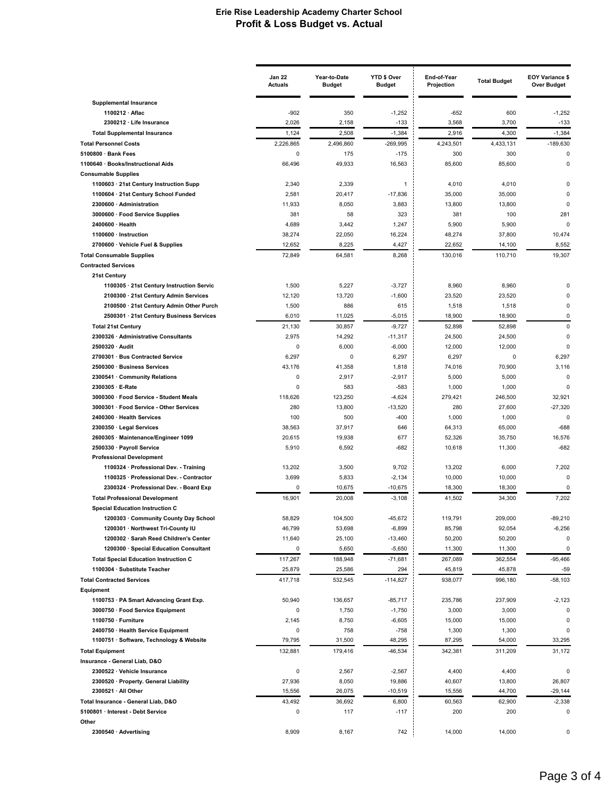|                                                                                  | <b>Jan 22</b><br><b>Actuals</b> | Year-to-Date<br><b>Budget</b> | YTD \$ Over<br><b>Budget</b> | End-of-Year<br>Projection | <b>Total Budget</b> | <b>EOY Variance \$</b><br><b>Over Budget</b> |
|----------------------------------------------------------------------------------|---------------------------------|-------------------------------|------------------------------|---------------------------|---------------------|----------------------------------------------|
| <b>Supplemental Insurance</b>                                                    |                                 |                               |                              |                           |                     |                                              |
| 1100212 · Aflac                                                                  | $-902$                          | 350                           | $-1,252$                     | $-652$                    | 600                 | $-1,252$                                     |
| 2300212 · Life Insurance                                                         | 2,026                           | 2,158                         | $-133$                       | 3,568                     | 3,700               | $-133$                                       |
| <b>Total Supplemental Insurance</b>                                              | 1,124                           | 2,508                         | $-1,384$                     | 2,916                     | 4,300               | $-1,384$                                     |
| <b>Total Personnel Costs</b>                                                     | 2,226,865                       | 2,496,860                     | -269,995                     | 4,243,501<br>300          | 4,433,131           | $-189,630$<br>$\mathbf 0$                    |
| 5100800 · Bank Fees<br>1100640 · Books/Instructional Aids                        | 0<br>66,496                     | 175<br>49,933                 | $-175$<br>16,563             | 85,600                    | 300<br>85,600       | $\mathbf 0$                                  |
| <b>Consumable Supplies</b>                                                       |                                 |                               |                              |                           |                     |                                              |
| 1100603 · 21st Century Instruction Supp                                          | 2,340                           | 2,339                         | $\mathbf{1}$                 | 4,010                     | 4,010               | $\Omega$                                     |
| 1100604 · 21st Century School Funded                                             | 2,581                           | 20,417                        | $-17,836$                    | 35,000                    | 35,000              | $\Omega$                                     |
| 2300600 · Administration                                                         | 11,933                          | 8,050                         | 3,883                        | 13,800                    | 13,800              | $\mathbf 0$                                  |
| 3000600 · Food Service Supplies                                                  | 381                             | 58                            | 323                          | 381                       | 100                 | 281                                          |
| 2400600 · Health                                                                 | 4,689                           | 3,442                         | 1,247                        | 5,900                     | 5,900               | $\Omega$                                     |
| 1100600 · Instruction                                                            | 38,274                          | 22,050                        | 16,224                       | 48,274                    | 37,800              | 10,474                                       |
| 2700600 · Vehicle Fuel & Supplies                                                | 12,652                          | 8,225                         | 4,427                        | 22,652                    | 14,100              | 8,552                                        |
| <b>Total Consumable Supplies</b>                                                 | 72,849                          | 64,581                        | 8,268                        | 130,016                   | 110,710             | 19,307                                       |
| <b>Contracted Services</b>                                                       |                                 |                               |                              |                           |                     |                                              |
| 21st Century<br>1100305 · 21st Century Instruction Servic                        | 1,500                           | 5,227                         | $-3,727$                     | 8,960                     | 8,960               | $\Omega$                                     |
| 2100300 · 21st Century Admin Services                                            | 12,120                          | 13,720                        | $-1,600$                     | 23,520                    | 23,520              | $\Omega$                                     |
| 2100500 · 21st Century Admin Other Purch                                         | 1,500                           | 886                           | 615                          | 1,518                     | 1,518               | $\mathbf 0$                                  |
| 2500301 · 21st Century Business Services                                         | 6,010                           | 11,025                        | $-5,015$                     | 18,900                    | 18,900              | $\mathbf 0$                                  |
| <b>Total 21st Century</b>                                                        | 21,130                          | 30,857                        | $-9,727$                     | 52,898                    | 52,898              | $\mathbf 0$                                  |
| 2300326 · Administrative Consultants                                             | 2,975                           | 14,292                        | $-11,317$                    | 24,500                    | 24,500              | 0                                            |
| 2500320 · Audit                                                                  | 0                               | 6,000                         | $-6,000$                     | 12,000                    | 12,000              | $\Omega$                                     |
| 2700301 · Bus Contracted Service                                                 | 6,297                           | 0                             | 6,297                        | 6,297                     | 0                   | 6,297                                        |
| 2500300 · Business Services                                                      | 43,176                          | 41,358                        | 1,818                        | 74,016                    | 70,900              | 3,116                                        |
| 2300541 · Community Relations                                                    | 0                               | 2,917                         | $-2,917$                     | 5,000                     | 5,000               | $\mathbf 0$                                  |
| 2300305 · E-Rate                                                                 | 0                               | 583                           | $-583$                       | 1,000                     | 1,000               | $\Omega$                                     |
| 3000300 · Food Service - Student Meals                                           | 118,626                         | 123,250                       | $-4,624$                     | 279,421                   | 246,500             | 32,921                                       |
| 3000301 · Food Service - Other Services                                          | 280                             | 13,800                        | $-13,520$                    | 280                       | 27,600              | $-27,320$                                    |
| 2400300 · Health Services                                                        | 100<br>38,563                   | 500<br>37,917                 | $-400$<br>646                | 1,000                     | 1,000<br>65,000     | $\Omega$<br>$-688$                           |
| 2300350 · Legal Services<br>2600305 · Maintenance/Engineer 1099                  | 20,615                          | 19,938                        | 677                          | 64,313<br>52,326          | 35,750              | 16,576                                       |
| 2500330 · Payroll Service                                                        | 5,910                           | 6,592                         | -682                         | 10,618                    | 11,300              | $-682$                                       |
| <b>Professional Development</b>                                                  |                                 |                               |                              |                           |                     |                                              |
| 1100324 · Professional Dev. - Training                                           | 13,202                          | 3,500                         | 9,702                        | 13,202                    | 6,000               | 7,202                                        |
| 1100325 · Professional Dev. - Contractor                                         | 3,699                           | 5,833                         | $-2,134$                     | 10,000                    | 10,000              | $\Omega$                                     |
| 2300324 · Professional Dev. - Board Exp                                          | 0                               | 10,675                        | $-10,675$                    | 18,300                    | 18,300              | 0                                            |
| <b>Total Professional Development</b>                                            | 16,901                          | 20,008                        | $-3,108$                     | 41,502                    | 34,300              | 7,202                                        |
| <b>Special Education Instruction C</b>                                           |                                 |                               |                              |                           |                     |                                              |
| 1200303 · Community County Day School                                            | 58,829                          | 104,500                       | $-45,672$                    | 119,791                   | 209,000             | $-89,210$                                    |
| 1200301 · Northwest Tri-County IU                                                | 46,799                          | 53,698                        | $-6,899$                     | 85,798                    | 92,054              | $-6,256$                                     |
| 1200302 · Sarah Reed Children's Center<br>1200300 · Special Education Consultant | 11,640<br>0                     | 25,100<br>5,650               | $-13,460$<br>$-5,650$        | 50,200<br>11,300          | 50,200<br>11,300    | 0<br>$\pmb{0}$                               |
| <b>Total Special Education Instruction C</b>                                     | 117,267                         | 188,948                       | $-71,681$                    | 267,089                   | 362,554             | $-95,466$                                    |
| 1100304 · Substitute Teacher                                                     | 25,879                          | 25,586                        | 294                          | 45,819                    | 45,878              | $-59$                                        |
| <b>Total Contracted Services</b>                                                 | 417,718                         | 532,545                       | $-114,827$                   | 938,077                   | 996,180             | $-58,103$                                    |
| Equipment                                                                        |                                 |                               |                              |                           |                     |                                              |
| 1100753 · PA Smart Advancing Grant Exp.                                          | 50,940                          | 136,657                       | $-85,717$                    | 235,786                   | 237,909             | $-2,123$                                     |
| 3000750 · Food Service Equipment                                                 | 0                               | 1,750                         | $-1,750$                     | 3,000                     | 3,000               | $\mathbf 0$                                  |
| 1100750 · Furniture                                                              | 2,145                           | 8,750                         | $-6,605$                     | 15,000                    | 15,000              | 0                                            |
| 2400750 · Health Service Equipment                                               | 0                               | 758                           | $-758$                       | 1,300                     | 1,300               | 0                                            |
| 1100751 · Software, Technology & Website                                         | 79,795                          | 31,500                        | 48,295                       | 87,295                    | 54,000              | 33,295                                       |
| <b>Total Equipment</b>                                                           | 132,881                         | 179,416                       | $-46,534$                    | 342,381                   | 311,209             | 31,172                                       |
| Insurance - General Liab, D&O                                                    |                                 |                               |                              |                           |                     |                                              |
| 2300522 · Vehicle Insurance                                                      | 0                               | 2,567                         | $-2,567$                     | 4,400                     | 4,400               | 0                                            |
| 2300520 · Property. General Liability                                            | 27,936                          | 8,050                         | 19,886                       | 40,607                    | 13,800              | 26,807                                       |
| 2300521 · All Other                                                              | 15,556                          | 26,075                        | $-10,519$                    | 15,556                    | 44,700              | $-29,144$                                    |
| Total Insurance - General Liab, D&O<br>5100801 · Interest - Debt Service         | 43,492<br>0                     | 36,692<br>117                 | 6,800<br>$-117$              | 60,563<br>200             | 62,900<br>200       | $-2,338$<br>0                                |
| Other                                                                            |                                 |                               |                              |                           |                     |                                              |
| 2300540 · Advertising                                                            | 8,909                           | 8,167                         | 742                          | 14,000                    | 14,000              | 0                                            |
|                                                                                  |                                 |                               |                              |                           |                     |                                              |